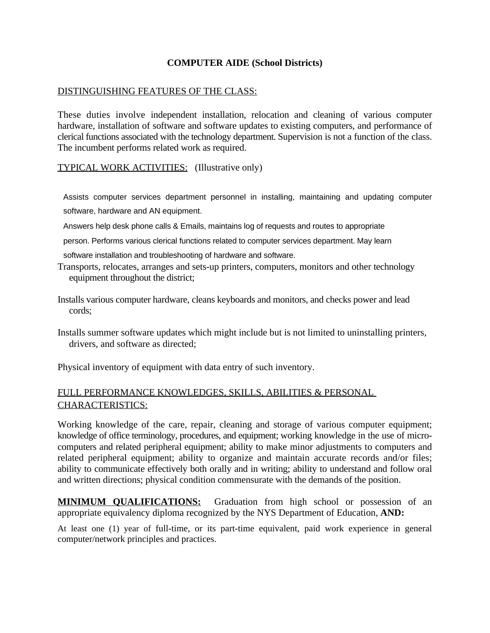## **COMPUTER AIDE (School Districts)**

## DISTINGUISHING FEATURES OF THE CLASS:

These duties involve independent installation, relocation and cleaning of various computer hardware, installation of software and software updates to existing computers, and performance of clerical functions associated with the technology department. Supervision is not a function of the class. The incumbent performs related work as required.

TYPICAL WORK ACTIVITIES: (Illustrative only)

Assists computer services department personnel in installing, maintaining and updating computer software, hardware and AN equipment.

Answers help desk phone calls & Emails, maintains log of requests and routes to appropriate

person. Performs various clerical functions related to computer services department. May learn

software installation and troubleshooting of hardware and software.

Transports, relocates, arranges and sets-up printers, computers, monitors and other technology equipment throughout the district;

Installs various computer hardware, cleans keyboards and monitors, and checks power and lead cords;

Installs summer software updates which might include but is not limited to uninstalling printers, drivers, and software as directed;

Physical inventory of equipment with data entry of such inventory.

## FULL PERFORMANCE KNOWLEDGES, SKILLS, ABILITIES & PERSONAL CHARACTERISTICS:

Working knowledge of the care, repair, cleaning and storage of various computer equipment; knowledge of office terminology, procedures, and equipment; working knowledge in the use of microcomputers and related peripheral equipment; ability to make minor adjustments to computers and related peripheral equipment; ability to organize and maintain accurate records and/or files; ability to communicate effectively both orally and in writing; ability to understand and follow oral and written directions; physical condition commensurate with the demands of the position.

**MINIMUM QUALIFICATIONS:** Graduation from high school or possession of an appropriate equivalency diploma recognized by the NYS Department of Education, **AND:**

At least one (1) year of full-time, or its part-time equivalent, paid work experience in general computer/network principles and practices.